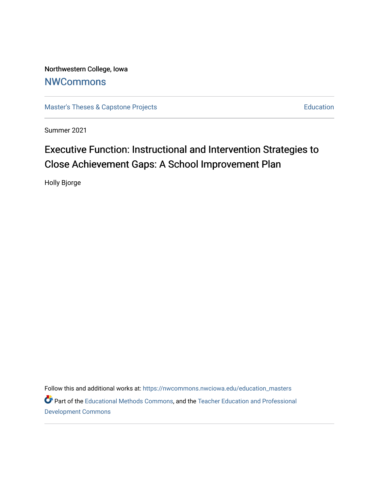Northwestern College, Iowa **[NWCommons](https://nwcommons.nwciowa.edu/)** 

[Master's Theses & Capstone Projects](https://nwcommons.nwciowa.edu/education_masters) **Education** Education

Summer 2021

# Executive Function: Instructional and Intervention Strategies to Close Achievement Gaps: A School Improvement Plan

Holly Bjorge

Follow this and additional works at: [https://nwcommons.nwciowa.edu/education\\_masters](https://nwcommons.nwciowa.edu/education_masters?utm_source=nwcommons.nwciowa.edu%2Feducation_masters%2F333&utm_medium=PDF&utm_campaign=PDFCoverPages) Part of the [Educational Methods Commons,](http://network.bepress.com/hgg/discipline/1227?utm_source=nwcommons.nwciowa.edu%2Feducation_masters%2F333&utm_medium=PDF&utm_campaign=PDFCoverPages) and the [Teacher Education and Professional](http://network.bepress.com/hgg/discipline/803?utm_source=nwcommons.nwciowa.edu%2Feducation_masters%2F333&utm_medium=PDF&utm_campaign=PDFCoverPages)  [Development Commons](http://network.bepress.com/hgg/discipline/803?utm_source=nwcommons.nwciowa.edu%2Feducation_masters%2F333&utm_medium=PDF&utm_campaign=PDFCoverPages)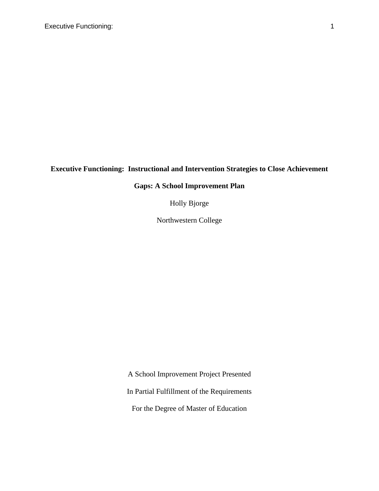## **Executive Functioning: Instructional and Intervention Strategies to Close Achievement**

## **Gaps: A School Improvement Plan**

Holly Bjorge

Northwestern College

A School Improvement Project Presented

In Partial Fulfillment of the Requirements

For the Degree of Master of Education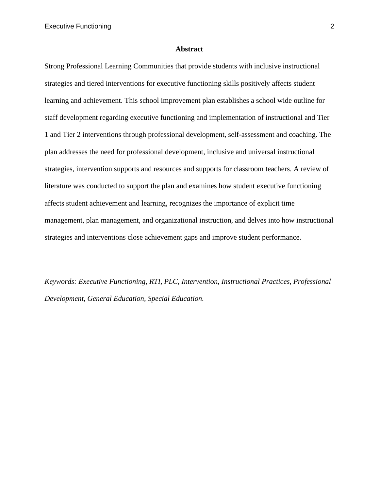#### **Abstract**

<span id="page-2-0"></span>Strong Professional Learning Communities that provide students with inclusive instructional strategies and tiered interventions for executive functioning skills positively affects student learning and achievement. This school improvement plan establishes a school wide outline for staff development regarding executive functioning and implementation of instructional and Tier 1 and Tier 2 interventions through professional development, self-assessment and coaching. The plan addresses the need for professional development, inclusive and universal instructional strategies, intervention supports and resources and supports for classroom teachers. A review of literature was conducted to support the plan and examines how student executive functioning affects student achievement and learning, recognizes the importance of explicit time management, plan management, and organizational instruction, and delves into how instructional strategies and interventions close achievement gaps and improve student performance.

*Keywords: Executive Functioning, RTI, PLC, Intervention, Instructional Practices, Professional Development, General Education, Special Education.*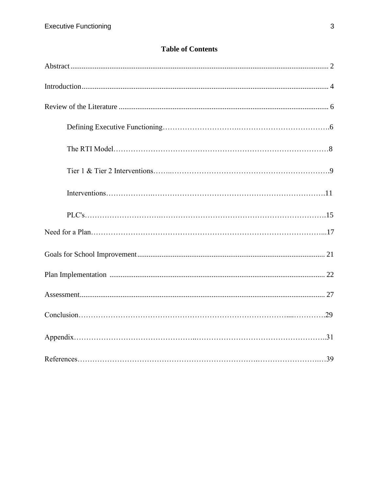## **Table of Contents**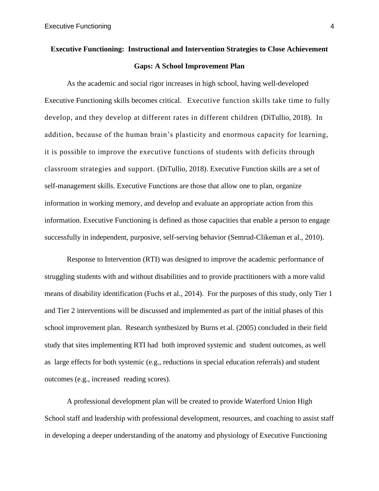# **Executive Functioning: Instructional and Intervention Strategies to Close Achievement Gaps: A School Improvement Plan**

As the academic and social rigor increases in high school, having well-developed Executive Functioning skills becomes critical. Executive function skills take time to fully develop, and they develop at different rates in different children (DiTullio, 2018). In addition, because of the human brain's plasticity and enormous capacity for learning, it is possible to improve the executive functions of students with deficits through classroom strategies and support. (DiTullio, 2018). Executive Function skills are a set of self-management skills. Executive Functions are those that allow one to plan, organize information in working memory, and develop and evaluate an appropriate action from this information. Executive Functioning is defined as those capacities that enable a person to engage successfully in independent, purposive, self-serving behavior (Semrud-Clikeman et al., 2010).

Response to Intervention (RTI) was designed to improve the academic performance of struggling students with and without disabilities and to provide practitioners with a more valid means of disability identification (Fuchs et al., 2014). For the purposes of this study, only Tier 1 and Tier 2 interventions will be discussed and implemented as part of the initial phases of this school improvement plan. Research synthesized by Burns et al. (2005) concluded in their field study that sites implementing RTI had both improved systemic and student outcomes, as well as large effects for both systemic (e.g., reductions in special education referrals) and student outcomes (e.g., increased reading scores).

A professional development plan will be created to provide Waterford Union High School staff and leadership with professional development, resources, and coaching to assist staff in developing a deeper understanding of the anatomy and physiology of Executive Functioning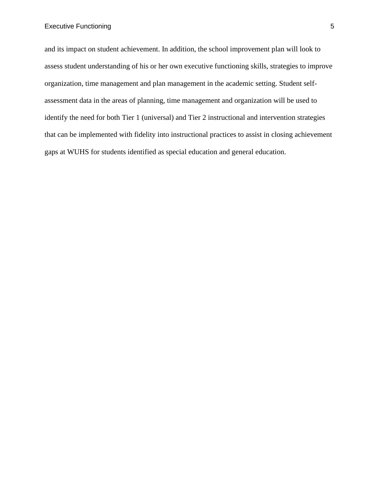<span id="page-5-0"></span>and its impact on student achievement. In addition, the school improvement plan will look to assess student understanding of his or her own executive functioning skills, strategies to improve organization, time management and plan management in the academic setting. Student selfassessment data in the areas of planning, time management and organization will be used to identify the need for both Tier 1 (universal) and Tier 2 instructional and intervention strategies that can be implemented with fidelity into instructional practices to assist in closing achievement gaps at WUHS for students identified as special education and general education.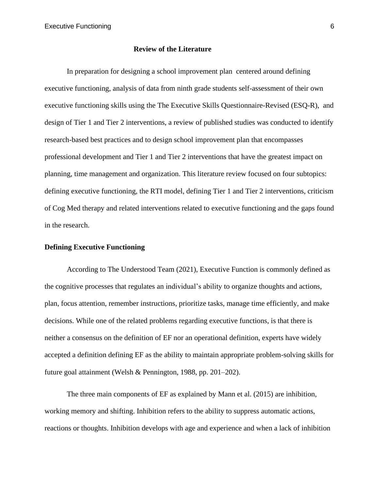## **Review of the Literature**

In preparation for designing a school improvement plan centered around defining executive functioning, analysis of data from ninth grade students self-assessment of their own executive functioning skills using the The Executive Skills Questionnaire-Revised (ESQ-R), and design of Tier 1 and Tier 2 interventions, a review of published studies was conducted to identify research-based best practices and to design school improvement plan that encompasses professional development and Tier 1 and Tier 2 interventions that have the greatest impact on planning, time management and organization. This literature review focused on four subtopics: defining executive functioning, the RTI model, defining Tier 1 and Tier 2 interventions, criticism of Cog Med therapy and related interventions related to executive functioning and the gaps found in the research.

## **Defining Executive Functioning**

According to The Understood Team (2021), Executive Function is commonly defined as the cognitive processes that regulates an individual's ability to organize thoughts and actions, plan, focus attention, remember instructions, prioritize tasks, manage time efficiently, and make decisions. While one of the related problems regarding executive functions, is that there is neither a consensus on the definition of EF nor an operational definition, experts have widely accepted a definition defining EF as the ability to maintain appropriate problem-solving skills for future goal attainment (Welsh & Pennington, 1988, pp. 201–202).

The three main components of EF as explained by Mann et al. (2015) are inhibition, working memory and shifting. Inhibition refers to the ability to suppress automatic actions, reactions or thoughts. Inhibition develops with age and experience and when a lack of inhibition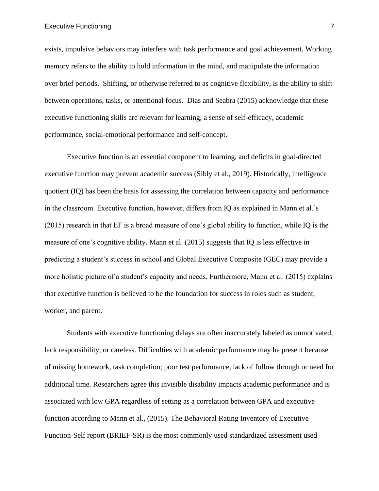#### Executive Functioning 7 and 200 million that the contract of the contract of the contract of the contract of the contract of the contract of the contract of the contract of the contract of the contract of the contract of t

exists, impulsive behaviors may interfere with task performance and goal achievement. Working memory refers to the ability to hold information in the mind, and manipulate the information over brief periods. Shifting, or otherwise referred to as cognitive flexibility, is the ability to shift between operations, tasks, or attentional focus. Dias and Seabra (2015) acknowledge that these executive functioning skills are relevant for learning, a sense of self-efficacy, academic performance, social-emotional performance and self-concept.

Executive function is an essential component to learning, and deficits in goal-directed executive function may prevent academic success (Sibly et al., 2019). Historically, intelligence quotient (IQ) has been the basis for assessing the correlation between capacity and performance in the classroom. Executive function, however, differs from IQ as explained in Mann et al.'s (2015) research in that EF is a broad measure of one's global ability to function, while IQ is the measure of one's cognitive ability. Mann et al. (2015) suggests that IQ is less effective in predicting a student's success in school and Global Executive Composite (GEC) may provide a more holistic picture of a student's capacity and needs. Furthermore, Mann et al. (2015) explains that executive function is believed to be the foundation for success in roles such as student, worker, and parent.

Students with executive functioning delays are often inaccurately labeled as unmotivated, lack responsibility, or careless. Difficulties with academic performance may be present because of missing homework, task completion; poor test performance, lack of follow through or need for additional time. Researchers agree this invisible disability impacts academic performance and is associated with low GPA regardless of setting as a correlation between GPA and executive function according to Mann et al., (2015). The Behavioral Rating Inventory of Executive Function-Self report (BRIEF-SR) is the most commonly used standardized assessment used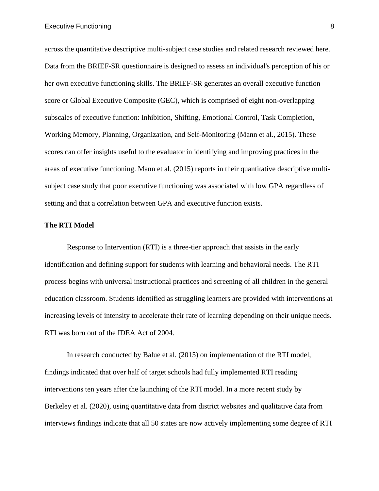across the quantitative descriptive multi-subject case studies and related research reviewed here. Data from the BRIEF-SR questionnaire is designed to assess an individual's perception of his or her own executive functioning skills. The BRIEF-SR generates an overall executive function score or Global Executive Composite (GEC), which is comprised of eight non-overlapping subscales of executive function: Inhibition, Shifting, Emotional Control, Task Completion, Working Memory, Planning, Organization, and Self-Monitoring (Mann et al., 2015). These scores can offer insights useful to the evaluator in identifying and improving practices in the areas of executive functioning. Mann et al. (2015) reports in their quantitative descriptive multisubject case study that poor executive functioning was associated with low GPA regardless of setting and that a correlation between GPA and executive function exists.

## **The RTI Model**

Response to Intervention (RTI) is a three-tier approach that assists in the early identification and defining support for students with learning and behavioral needs. The RTI process begins with universal instructional practices and screening of all children in the general education classroom. Students identified as struggling learners are provided with interventions at increasing levels of intensity to accelerate their rate of learning depending on their unique needs. RTI was born out of the IDEA Act of 2004.

In research conducted by Balue et al. (2015) on implementation of the RTI model, findings indicated that over half of target schools had fully implemented RTI reading interventions ten years after the launching of the RTI model. In a more recent study by Berkeley et al. (2020), using quantitative data from district websites and qualitative data from interviews findings indicate that all 50 states are now actively implementing some degree of RTI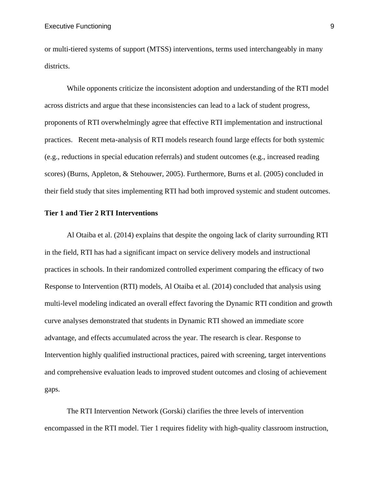or multi-tiered systems of support (MTSS) interventions, terms used interchangeably in many districts.

While opponents criticize the inconsistent adoption and understanding of the RTI model across districts and argue that these inconsistencies can lead to a lack of student progress, proponents of RTI overwhelmingly agree that effective RTI implementation and instructional practices. Recent meta-analysis of RTI models research found large effects for both systemic (e.g., reductions in special education referrals) and student outcomes (e.g., increased reading scores) (Burns, Appleton, & Stehouwer, 2005). Furthermore, Burns et al. (2005) concluded in their field study that sites implementing RTI had both improved systemic and student outcomes.

## **Tier 1 and Tier 2 RTI Interventions**

Al Otaiba et al. (2014) explains that despite the ongoing lack of clarity surrounding RTI in the field, RTI has had a significant impact on service delivery models and instructional practices in schools. In their randomized controlled experiment comparing the efficacy of two Response to Intervention (RTI) models, Al Otaiba et al. (2014) concluded that analysis using multi-level modeling indicated an overall effect favoring the Dynamic RTI condition and growth curve analyses demonstrated that students in Dynamic RTI showed an immediate score advantage, and effects accumulated across the year. The research is clear. Response to Intervention highly qualified instructional practices, paired with screening, target interventions and comprehensive evaluation leads to improved student outcomes and closing of achievement gaps.

The RTI Intervention Network (Gorski) clarifies the three levels of intervention encompassed in the RTI model. Tier 1 requires fidelity with high-quality classroom instruction,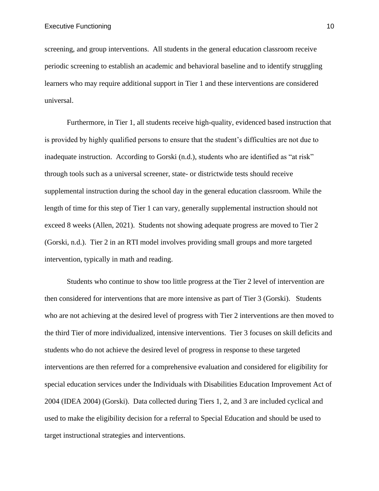screening, and group interventions. All students in the general education classroom receive periodic screening to establish an academic and behavioral baseline and to identify struggling learners who may require additional support in Tier 1 and these interventions are considered universal.

Furthermore, in Tier 1, all students receive high-quality, evidenced based instruction that is provided by highly qualified persons to ensure that the student's difficulties are not due to inadequate instruction. According to Gorski (n.d.), students who are identified as "at risk" through tools such as a universal screener, state- or districtwide tests should receive supplemental instruction during the school day in the general education classroom. While the length of time for this step of Tier 1 can vary, generally supplemental instruction should not exceed 8 weeks (Allen, 2021). Students not showing adequate progress are moved to Tier 2 (Gorski, n.d.). Tier 2 in an RTI model involves providing small groups and more targeted intervention, typically in math and reading.

Students who continue to show too little progress at the Tier 2 level of intervention are then considered for interventions that are more intensive as part of Tier 3 (Gorski). Students who are not achieving at the desired level of progress with Tier 2 interventions are then moved to the third Tier of more individualized, intensive interventions. Tier 3 focuses on skill deficits and students who do not achieve the desired level of progress in response to these targeted interventions are then referred for a comprehensive evaluation and considered for eligibility for special education services under the Individuals with Disabilities Education Improvement Act of 2004 (IDEA 2004) (Gorski). Data collected during Tiers 1, 2, and 3 are included cyclical and used to make the eligibility decision for a referral to Special Education and should be used to target instructional strategies and interventions.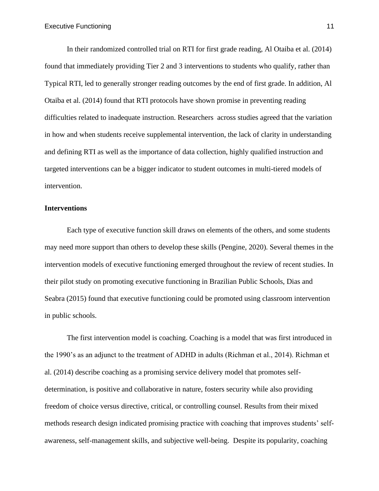In their randomized controlled trial on RTI for first grade reading, Al Otaiba et al. (2014) found that immediately providing Tier 2 and 3 interventions to students who qualify, rather than Typical RTI, led to generally stronger reading outcomes by the end of first grade. In addition, Al Otaiba et al. (2014) found that RTI protocols have shown promise in preventing reading difficulties related to inadequate instruction. Researchers across studies agreed that the variation in how and when students receive supplemental intervention, the lack of clarity in understanding and defining RTI as well as the importance of data collection, highly qualified instruction and targeted interventions can be a bigger indicator to student outcomes in multi-tiered models of intervention.

## **Interventions**

Each type of executive function skill draws on elements of the others, and some students may need more support than others to develop these skills (Pengine, 2020). Several themes in the intervention models of executive functioning emerged throughout the review of recent studies. In their pilot study on promoting executive functioning in Brazilian Public Schools, Dias and Seabra (2015) found that executive functioning could be promoted using classroom intervention in public schools.

The first intervention model is coaching. Coaching is a model that was first introduced in the 1990's as an adjunct to the treatment of ADHD in adults (Richman et al., 2014). Richman et al. (2014) describe coaching as a promising service delivery model that promotes selfdetermination, is positive and collaborative in nature, fosters security while also providing freedom of choice versus directive, critical, or controlling counsel. Results from their mixed methods research design indicated promising practice with coaching that improves students' selfawareness, self-management skills, and subjective well-being. Despite its popularity, coaching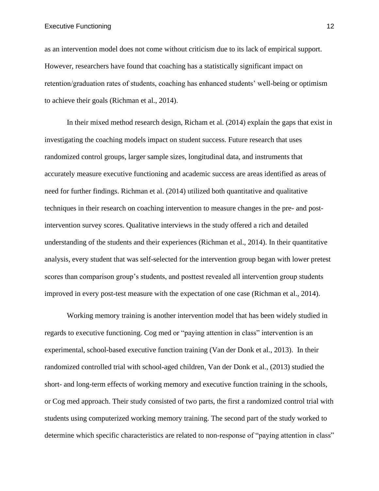Executive Functioning 12

as an intervention model does not come without criticism due to its lack of empirical support. However, researchers have found that coaching has a statistically significant impact on retention/graduation rates of students, coaching has enhanced students' well-being or optimism to achieve their goals (Richman et al., 2014).

In their mixed method research design, Richam et al. (2014) explain the gaps that exist in investigating the coaching models impact on student success. Future research that uses randomized control groups, larger sample sizes, longitudinal data, and instruments that accurately measure executive functioning and academic success are areas identified as areas of need for further findings. Richman et al. (2014) utilized both quantitative and qualitative techniques in their research on coaching intervention to measure changes in the pre- and postintervention survey scores. Qualitative interviews in the study offered a rich and detailed understanding of the students and their experiences (Richman et al., 2014). In their quantitative analysis, every student that was self-selected for the intervention group began with lower pretest scores than comparison group's students, and posttest revealed all intervention group students improved in every post-test measure with the expectation of one case (Richman et al., 2014).

Working memory training is another intervention model that has been widely studied in regards to executive functioning. Cog med or "paying attention in class" intervention is an experimental, school-based executive function training (Van der Donk et al., 2013). In their randomized controlled trial with school-aged children, Van der Donk et al., (2013) studied the short- and long-term effects of working memory and executive function training in the schools, or Cog med approach. Their study consisted of two parts, the first a randomized control trial with students using computerized working memory training. The second part of the study worked to determine which specific characteristics are related to non-response of "paying attention in class"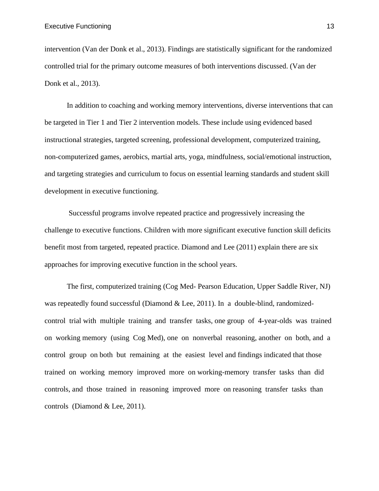intervention (Van der Donk et al., 2013). Findings are statistically significant for the randomized controlled trial for the primary outcome measures of both interventions discussed. (Van der Donk et al., 2013).

In addition to coaching and working memory interventions, diverse interventions that can be targeted in Tier 1 and Tier 2 intervention models. These include using evidenced based instructional strategies, targeted screening, professional development, computerized training, non-computerized games, aerobics, martial arts, yoga, mindfulness, social/emotional instruction, and targeting strategies and curriculum to focus on essential learning standards and student skill development in executive functioning.

Successful programs involve repeated practice and progressively increasing the challenge to executive functions. Children with more significant executive function skill deficits benefit most from targeted, repeated practice. Diamond and Lee (2011) explain there are six approaches for improving executive function in the school years.

The first, computerized training (Cog Med- Pearson Education, Upper Saddle River, NJ) was repeatedly found successful (Diamond & Lee, 2011). In a double-blind, randomizedcontrol trial with multiple training and transfer tasks, one group of 4-year-olds was trained on working memory (using Cog Med), one on nonverbal reasoning, another on both, and a control group on both but remaining at the easiest level and findings indicated that those trained on working memory improved more on working-memory transfer tasks than did controls, and those trained in reasoning improved more on reasoning transfer tasks than controls (Diamond & Lee, 2011).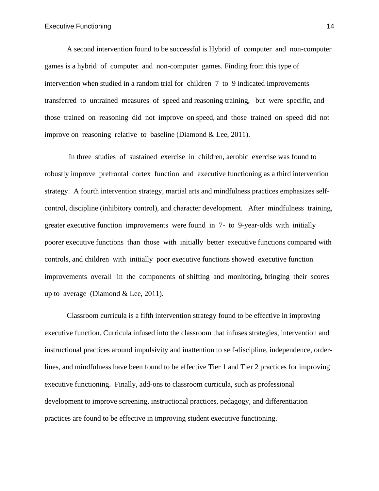A second intervention found to be successful is Hybrid of computer and non-computer games is a hybrid of computer and non-computer games. Finding from this type of intervention when studied in a random trial for children 7 to 9 indicated improvements transferred to untrained measures of speed and reasoning training, but were specific, and those trained on reasoning did not improve on speed, and those trained on speed did not improve on reasoning relative to baseline (Diamond & Lee, 2011).

In three studies of sustained exercise in children, aerobic exercise was found to robustly improve prefrontal cortex function and executive functioning as a third intervention strategy. A fourth intervention strategy, martial arts and mindfulness practices emphasizes selfcontrol, discipline (inhibitory control), and character development. After mindfulness training, greater executive function improvements were found in 7- to 9-year-olds with initially poorer executive functions than those with initially better executive functions compared with controls, and children with initially poor executive functions showed executive function improvements overall in the components of shifting and monitoring, bringing their scores up to average (Diamond & Lee, 2011).

Classroom curricula is a fifth intervention strategy found to be effective in improving executive function. Curricula infused into the classroom that infuses strategies, intervention and instructional practices around impulsivity and inattention to self-discipline, independence, orderlines, and mindfulness have been found to be effective Tier 1 and Tier 2 practices for improving executive functioning. Finally, add-ons to classroom curricula, such as professional development to improve screening, instructional practices, pedagogy, and differentiation practices are found to be effective in improving student executive functioning.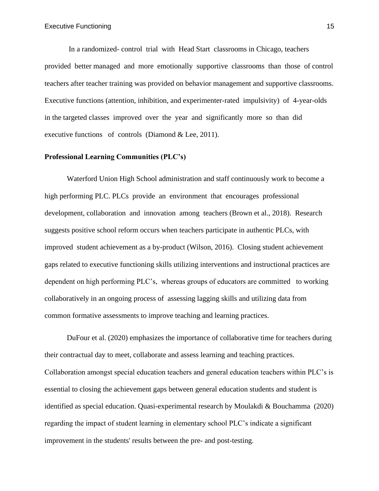In a randomized- control trial with Head Start classrooms in Chicago, teachers provided better managed and more emotionally supportive classrooms than those of control teachers after teacher training was provided on behavior management and supportive classrooms. Executive functions (attention, inhibition, and experimenter-rated impulsivity) of 4-year-olds in the targeted classes improved over the year and significantly more so than did executive functions of controls (Diamond & Lee, 2011).

## **Professional Learning Communities (PLC's)**

Waterford Union High School administration and staff continuously work to become a high performing PLC. PLCs provide an environment that encourages professional development, collaboration and innovation among teachers (Brown et al., 2018). Research suggests positive school reform occurs when teachers participate in authentic PLCs, with improved student achievement as a by-product (Wilson, 2016). Closing student achievement gaps related to executive functioning skills utilizing interventions and instructional practices are dependent on high performing PLC's, whereas groups of educators are committed to working collaboratively in an ongoing process of assessing lagging skills and utilizing data from common formative assessments to improve teaching and learning practices.

DuFour et al. (2020) emphasizes the importance of collaborative time for teachers during their contractual day to meet, collaborate and assess learning and teaching practices. Collaboration amongst special education teachers and general education teachers within PLC's is essential to closing the achievement gaps between general education students and student is identified as special education. Quasi-experimental research by Moulakdi & Bouchamma (2020) regarding the impact of student learning in elementary school PLC's indicate a significant improvement in the students' results between the pre- and post-testing.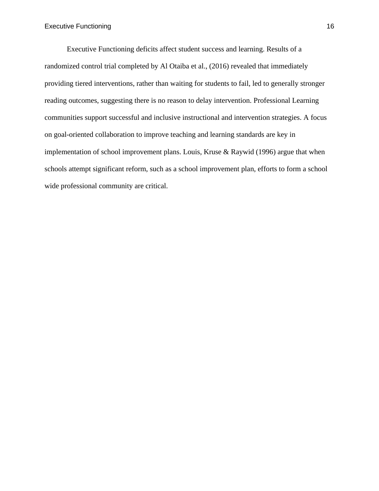Executive Functioning deficits affect student success and learning. Results of a randomized control trial completed by Al Otaiba et al., (2016) revealed that immediately providing tiered interventions, rather than waiting for students to fail, led to generally stronger reading outcomes, suggesting there is no reason to delay intervention. Professional Learning communities support successful and inclusive instructional and intervention strategies. A focus on goal-oriented collaboration to improve teaching and learning standards are key in implementation of school improvement plans. Louis, Kruse & Raywid (1996) argue that when schools attempt significant reform, such as a school improvement plan, efforts to form a school wide professional community are critical.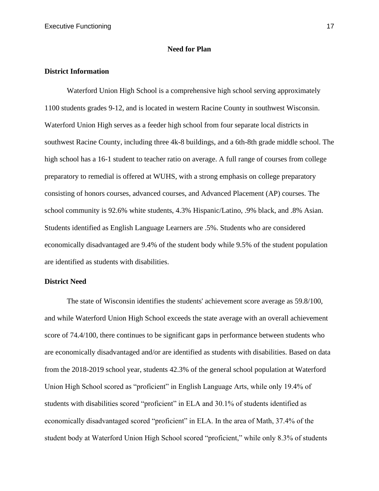## **Need for Plan**

## **District Information**

Waterford Union High School is a comprehensive high school serving approximately 1100 students grades 9-12, and is located in western Racine County in southwest Wisconsin. Waterford Union High serves as a feeder high school from four separate local districts in southwest Racine County, including three 4k-8 buildings, and a 6th-8th grade middle school. The high school has a 16-1 student to teacher ratio on average. A full range of courses from college preparatory to remedial is offered at WUHS, with a strong emphasis on college preparatory consisting of honors courses, advanced courses, and Advanced Placement (AP) courses. The school community is 92.6% white students, 4.3% Hispanic/Latino, .9% black, and .8% Asian. Students identified as English Language Learners are .5%. Students who are considered economically disadvantaged are 9.4% of the student body while 9.5% of the student population are identified as students with disabilities.

## **District Need**

The state of Wisconsin identifies the students' achievement score average as 59.8/100, and while Waterford Union High School exceeds the state average with an overall achievement score of 74.4/100, there continues to be significant gaps in performance between students who are economically disadvantaged and/or are identified as students with disabilities. Based on data from the 2018-2019 school year, students 42.3% of the general school population at Waterford Union High School scored as "proficient" in English Language Arts, while only 19.4% of students with disabilities scored "proficient" in ELA and 30.1% of students identified as economically disadvantaged scored "proficient" in ELA. In the area of Math, 37.4% of the student body at Waterford Union High School scored "proficient," while only 8.3% of students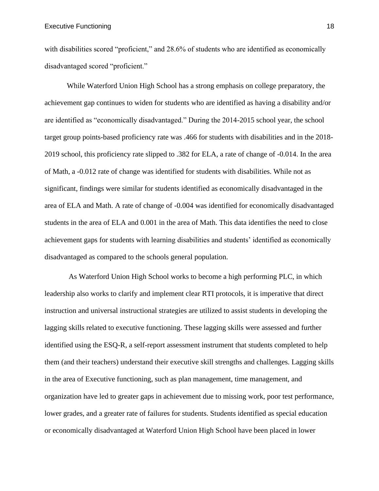with disabilities scored "proficient," and 28.6% of students who are identified as economically disadvantaged scored "proficient."

While Waterford Union High School has a strong emphasis on college preparatory, the achievement gap continues to widen for students who are identified as having a disability and/or are identified as "economically disadvantaged." During the 2014-2015 school year, the school target group points-based proficiency rate was .466 for students with disabilities and in the 2018- 2019 school, this proficiency rate slipped to .382 for ELA, a rate of change of -0.014. In the area of Math, a -0.012 rate of change was identified for students with disabilities. While not as significant, findings were similar for students identified as economically disadvantaged in the area of ELA and Math. A rate of change of -0.004 was identified for economically disadvantaged students in the area of ELA and 0.001 in the area of Math. This data identifies the need to close achievement gaps for students with learning disabilities and students' identified as economically disadvantaged as compared to the schools general population.

As Waterford Union High School works to become a high performing PLC, in which leadership also works to clarify and implement clear RTI protocols, it is imperative that direct instruction and universal instructional strategies are utilized to assist students in developing the lagging skills related to executive functioning. These lagging skills were assessed and further identified using the ESQ-R, a self-report assessment instrument that students completed to help them (and their teachers) understand their executive skill strengths and challenges. Lagging skills in the area of Executive functioning, such as plan management, time management, and organization have led to greater gaps in achievement due to missing work, poor test performance, lower grades, and a greater rate of failures for students. Students identified as special education or economically disadvantaged at Waterford Union High School have been placed in lower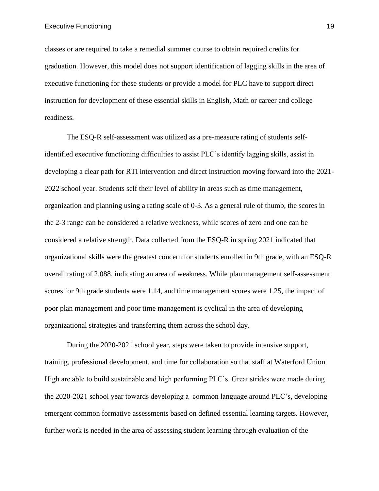classes or are required to take a remedial summer course to obtain required credits for graduation. However, this model does not support identification of lagging skills in the area of executive functioning for these students or provide a model for PLC have to support direct instruction for development of these essential skills in English, Math or career and college readiness.

The ESQ-R self-assessment was utilized as a pre-measure rating of students selfidentified executive functioning difficulties to assist PLC's identify lagging skills, assist in developing a clear path for RTI intervention and direct instruction moving forward into the 2021- 2022 school year. Students self their level of ability in areas such as time management, organization and planning using a rating scale of 0-3. As a general rule of thumb, the scores in the 2-3 range can be considered a relative weakness, while scores of zero and one can be considered a relative strength. Data collected from the ESQ-R in spring 2021 indicated that organizational skills were the greatest concern for students enrolled in 9th grade, with an ESQ-R overall rating of 2.088, indicating an area of weakness. While plan management self-assessment scores for 9th grade students were 1.14, and time management scores were 1.25, the impact of poor plan management and poor time management is cyclical in the area of developing organizational strategies and transferring them across the school day.

During the 2020-2021 school year, steps were taken to provide intensive support, training, professional development, and time for collaboration so that staff at Waterford Union High are able to build sustainable and high performing PLC's. Great strides were made during the 2020-2021 school year towards developing a common language around PLC's, developing emergent common formative assessments based on defined essential learning targets. However, further work is needed in the area of assessing student learning through evaluation of the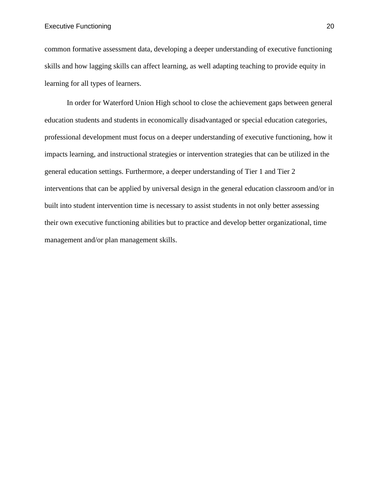## Executive Functioning 20

common formative assessment data, developing a deeper understanding of executive functioning skills and how lagging skills can affect learning, as well adapting teaching to provide equity in learning for all types of learners.

In order for Waterford Union High school to close the achievement gaps between general education students and students in economically disadvantaged or special education categories, professional development must focus on a deeper understanding of executive functioning, how it impacts learning, and instructional strategies or intervention strategies that can be utilized in the general education settings. Furthermore, a deeper understanding of Tier 1 and Tier 2 interventions that can be applied by universal design in the general education classroom and/or in built into student intervention time is necessary to assist students in not only better assessing their own executive functioning abilities but to practice and develop better organizational, time management and/or plan management skills.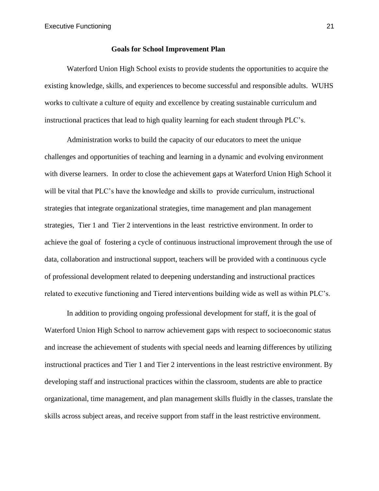## **Goals for School Improvement Plan**

Waterford Union High School exists to provide students the opportunities to acquire the existing knowledge, skills, and experiences to become successful and responsible adults. WUHS works to cultivate a culture of equity and excellence by creating sustainable curriculum and instructional practices that lead to high quality learning for each student through PLC's.

Administration works to build the capacity of our educators to meet the unique challenges and opportunities of teaching and learning in a dynamic and evolving environment with diverse learners. In order to close the achievement gaps at Waterford Union High School it will be vital that PLC's have the knowledge and skills to provide curriculum, instructional strategies that integrate organizational strategies, time management and plan management strategies, Tier 1 and Tier 2 interventions in the least restrictive environment. In order to achieve the goal of fostering a cycle of continuous instructional improvement through the use of data, collaboration and instructional support, teachers will be provided with a continuous cycle of professional development related to deepening understanding and instructional practices related to executive functioning and Tiered interventions building wide as well as within PLC's.

In addition to providing ongoing professional development for staff, it is the goal of Waterford Union High School to narrow achievement gaps with respect to socioeconomic status and increase the achievement of students with special needs and learning differences by utilizing instructional practices and Tier 1 and Tier 2 interventions in the least restrictive environment. By developing staff and instructional practices within the classroom, students are able to practice organizational, time management, and plan management skills fluidly in the classes, translate the skills across subject areas, and receive support from staff in the least restrictive environment.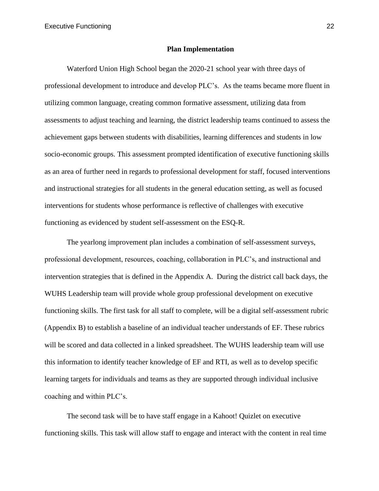## **Plan Implementation**

Waterford Union High School began the 2020-21 school year with three days of professional development to introduce and develop PLC's. As the teams became more fluent in utilizing common language, creating common formative assessment, utilizing data from assessments to adjust teaching and learning, the district leadership teams continued to assess the achievement gaps between students with disabilities, learning differences and students in low socio-economic groups. This assessment prompted identification of executive functioning skills as an area of further need in regards to professional development for staff, focused interventions and instructional strategies for all students in the general education setting, as well as focused interventions for students whose performance is reflective of challenges with executive functioning as evidenced by student self-assessment on the ESQ-R.

The yearlong improvement plan includes a combination of self-assessment surveys, professional development, resources, coaching, collaboration in PLC's, and instructional and intervention strategies that is defined in the Appendix A. During the district call back days, the WUHS Leadership team will provide whole group professional development on executive functioning skills. The first task for all staff to complete, will be a digital self-assessment rubric (Appendix B) to establish a baseline of an individual teacher understands of EF. These rubrics will be scored and data collected in a linked spreadsheet. The WUHS leadership team will use this information to identify teacher knowledge of EF and RTI, as well as to develop specific learning targets for individuals and teams as they are supported through individual inclusive coaching and within PLC's.

The second task will be to have staff engage in a Kahoot! Quizlet on executive functioning skills. This task will allow staff to engage and interact with the content in real time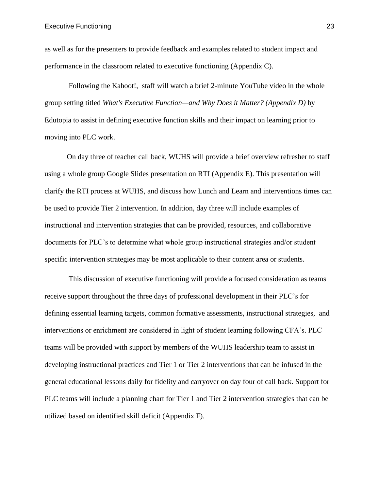as well as for the presenters to provide feedback and examples related to student impact and performance in the classroom related to executive functioning (Appendix C).

Following the Kahoot!, staff will watch a brief 2-minute YouTube video in the whole group setting titled *What's Executive Function—and Why Does it Matter? (Appendix D)* by Edutopia to assist in defining executive function skills and their impact on learning prior to moving into PLC work.

On day three of teacher call back, WUHS will provide a brief overview refresher to staff using a whole group Google Slides presentation on RTI (Appendix E). This presentation will clarify the RTI process at WUHS, and discuss how Lunch and Learn and interventions times can be used to provide Tier 2 intervention. In addition, day three will include examples of instructional and intervention strategies that can be provided, resources, and collaborative documents for PLC's to determine what whole group instructional strategies and/or student specific intervention strategies may be most applicable to their content area or students.

This discussion of executive functioning will provide a focused consideration as teams receive support throughout the three days of professional development in their PLC's for defining essential learning targets, common formative assessments, instructional strategies, and interventions or enrichment are considered in light of student learning following CFA's. PLC teams will be provided with support by members of the WUHS leadership team to assist in developing instructional practices and Tier 1 or Tier 2 interventions that can be infused in the general educational lessons daily for fidelity and carryover on day four of call back. Support for PLC teams will include a planning chart for Tier 1 and Tier 2 intervention strategies that can be utilized based on identified skill deficit (Appendix F).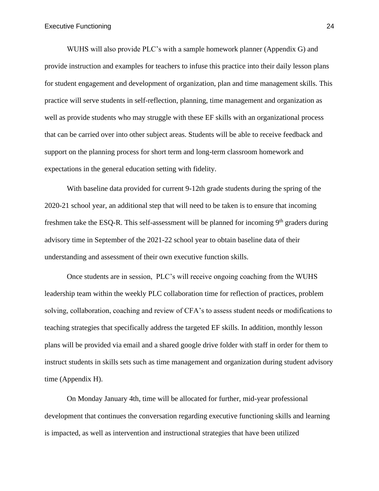WUHS will also provide PLC's with a sample homework planner (Appendix G) and provide instruction and examples for teachers to infuse this practice into their daily lesson plans for student engagement and development of organization, plan and time management skills. This practice will serve students in self-reflection, planning, time management and organization as well as provide students who may struggle with these EF skills with an organizational process that can be carried over into other subject areas. Students will be able to receive feedback and support on the planning process for short term and long-term classroom homework and expectations in the general education setting with fidelity.

With baseline data provided for current 9-12th grade students during the spring of the 2020-21 school year, an additional step that will need to be taken is to ensure that incoming freshmen take the ESQ-R. This self-assessment will be planned for incoming 9<sup>th</sup> graders during advisory time in September of the 2021-22 school year to obtain baseline data of their understanding and assessment of their own executive function skills.

Once students are in session, PLC's will receive ongoing coaching from the WUHS leadership team within the weekly PLC collaboration time for reflection of practices, problem solving, collaboration, coaching and review of CFA's to assess student needs or modifications to teaching strategies that specifically address the targeted EF skills. In addition, monthly lesson plans will be provided via email and a shared google drive folder with staff in order for them to instruct students in skills sets such as time management and organization during student advisory time (Appendix H).

On Monday January 4th, time will be allocated for further, mid-year professional development that continues the conversation regarding executive functioning skills and learning is impacted, as well as intervention and instructional strategies that have been utilized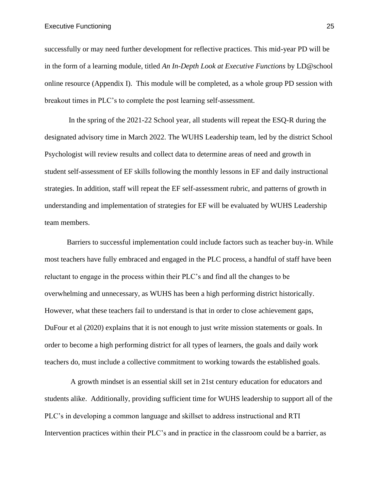#### Executive Functioning 25

successfully or may need further development for reflective practices. This mid-year PD will be in the form of a learning module, titled *An In-Depth Look at Executive Functions* by LD@school online resource (Appendix I). This module will be completed, as a whole group PD session with breakout times in PLC's to complete the post learning self-assessment.

In the spring of the 2021-22 School year, all students will repeat the ESQ-R during the designated advisory time in March 2022. The WUHS Leadership team, led by the district School Psychologist will review results and collect data to determine areas of need and growth in student self-assessment of EF skills following the monthly lessons in EF and daily instructional strategies. In addition, staff will repeat the EF self-assessment rubric, and patterns of growth in understanding and implementation of strategies for EF will be evaluated by WUHS Leadership team members.

Barriers to successful implementation could include factors such as teacher buy-in. While most teachers have fully embraced and engaged in the PLC process, a handful of staff have been reluctant to engage in the process within their PLC's and find all the changes to be overwhelming and unnecessary, as WUHS has been a high performing district historically. However, what these teachers fail to understand is that in order to close achievement gaps, DuFour et al (2020) explains that it is not enough to just write mission statements or goals. In order to become a high performing district for all types of learners, the goals and daily work teachers do, must include a collective commitment to working towards the established goals.

 A growth mindset is an essential skill set in 21st century education for educators and students alike. Additionally, providing sufficient time for WUHS leadership to support all of the PLC's in developing a common language and skillset to address instructional and RTI Intervention practices within their PLC's and in practice in the classroom could be a barrier, as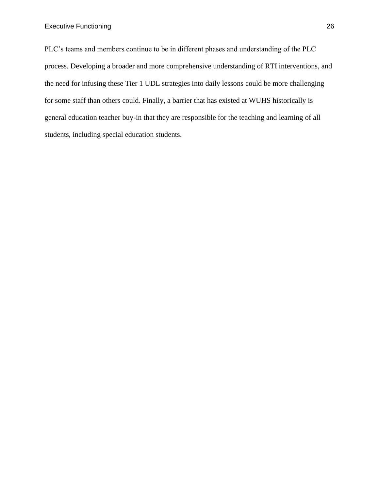PLC's teams and members continue to be in different phases and understanding of the PLC process. Developing a broader and more comprehensive understanding of RTI interventions, and the need for infusing these Tier 1 UDL strategies into daily lessons could be more challenging for some staff than others could. Finally, a barrier that has existed at WUHS historically is general education teacher buy-in that they are responsible for the teaching and learning of all students, including special education students.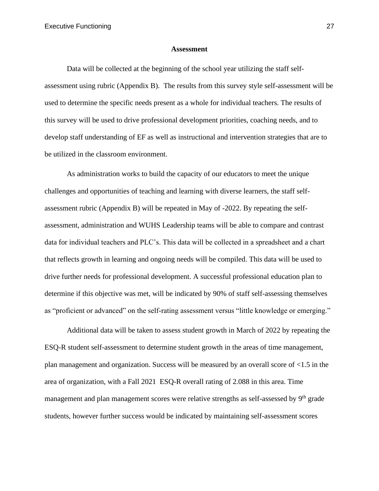### **Assessment**

Data will be collected at the beginning of the school year utilizing the staff selfassessment using rubric (Appendix B). The results from this survey style self-assessment will be used to determine the specific needs present as a whole for individual teachers. The results of this survey will be used to drive professional development priorities, coaching needs, and to develop staff understanding of EF as well as instructional and intervention strategies that are to be utilized in the classroom environment.

As administration works to build the capacity of our educators to meet the unique challenges and opportunities of teaching and learning with diverse learners, the staff selfassessment rubric (Appendix B) will be repeated in May of -2022. By repeating the selfassessment, administration and WUHS Leadership teams will be able to compare and contrast data for individual teachers and PLC's. This data will be collected in a spreadsheet and a chart that reflects growth in learning and ongoing needs will be compiled. This data will be used to drive further needs for professional development. A successful professional education plan to determine if this objective was met, will be indicated by 90% of staff self-assessing themselves as "proficient or advanced" on the self-rating assessment versus "little knowledge or emerging."

Additional data will be taken to assess student growth in March of 2022 by repeating the ESQ-R student self-assessment to determine student growth in the areas of time management, plan management and organization. Success will be measured by an overall score of <1.5 in the area of organization, with a Fall 2021 ESQ-R overall rating of 2.088 in this area. Time management and plan management scores were relative strengths as self-assessed by 9<sup>th</sup> grade students, however further success would be indicated by maintaining self-assessment scores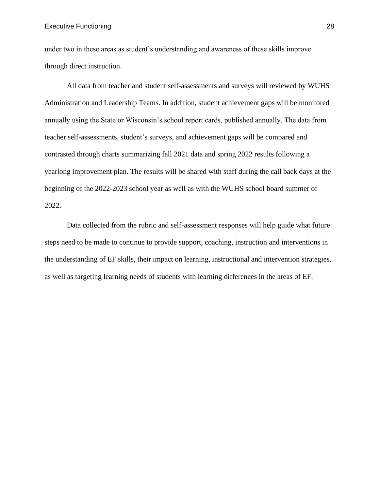### Executive Functioning 28

under two in these areas as student's understanding and awareness of these skills improve through direct instruction.

All data from teacher and student self-assessments and surveys will reviewed by WUHS Administration and Leadership Teams. In addition, student achievement gaps will be monitored annually using the State or Wisconsin's school report cards, published annually. The data from teacher self-assessments, student's surveys, and achievement gaps will be compared and contrasted through charts summarizing fall 2021 data and spring 2022 results following a yearlong improvement plan. The results will be shared with staff during the call back days at the beginning of the 2022-2023 school year as well as with the WUHS school board summer of 2022.

Data collected from the rubric and self-assessment responses will help guide what future steps need to be made to continue to provide support, coaching, instruction and interventions in the understanding of EF skills, their impact on learning, instructional and intervention strategies, as well as targeting learning needs of students with learning differences in the areas of EF.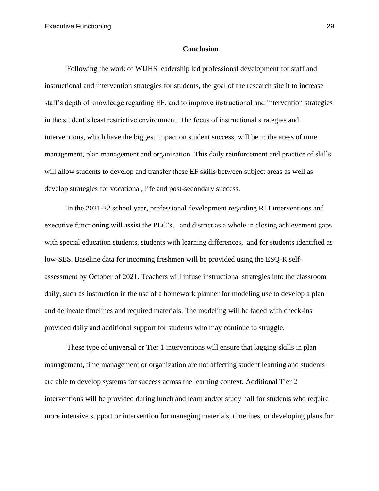#### **Conclusion**

Following the work of WUHS leadership led professional development for staff and instructional and intervention strategies for students, the goal of the research site it to increase staff's depth of knowledge regarding EF, and to improve instructional and intervention strategies in the student's least restrictive environment. The focus of instructional strategies and interventions, which have the biggest impact on student success, will be in the areas of time management, plan management and organization. This daily reinforcement and practice of skills will allow students to develop and transfer these EF skills between subject areas as well as develop strategies for vocational, life and post-secondary success.

In the 2021-22 school year, professional development regarding RTI interventions and executive functioning will assist the PLC's, and district as a whole in closing achievement gaps with special education students, students with learning differences, and for students identified as low-SES. Baseline data for incoming freshmen will be provided using the ESQ-R selfassessment by October of 2021. Teachers will infuse instructional strategies into the classroom daily, such as instruction in the use of a homework planner for modeling use to develop a plan and delineate timelines and required materials. The modeling will be faded with check-ins provided daily and additional support for students who may continue to struggle.

These type of universal or Tier 1 interventions will ensure that lagging skills in plan management, time management or organization are not affecting student learning and students are able to develop systems for success across the learning context. Additional Tier 2 interventions will be provided during lunch and learn and/or study hall for students who require more intensive support or intervention for managing materials, timelines, or developing plans for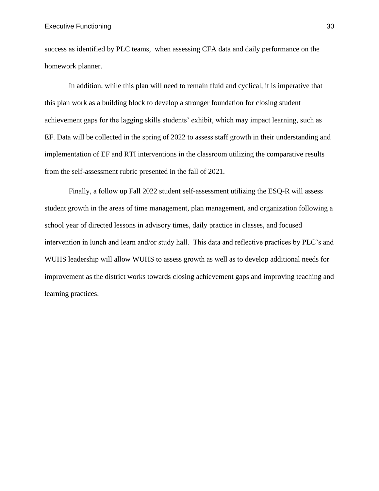success as identified by PLC teams, when assessing CFA data and daily performance on the homework planner.

In addition, while this plan will need to remain fluid and cyclical, it is imperative that this plan work as a building block to develop a stronger foundation for closing student achievement gaps for the lagging skills students' exhibit, which may impact learning, such as EF. Data will be collected in the spring of 2022 to assess staff growth in their understanding and implementation of EF and RTI interventions in the classroom utilizing the comparative results from the self-assessment rubric presented in the fall of 2021.

Finally, a follow up Fall 2022 student self-assessment utilizing the ESQ-R will assess student growth in the areas of time management, plan management, and organization following a school year of directed lessons in advisory times, daily practice in classes, and focused intervention in lunch and learn and/or study hall. This data and reflective practices by PLC's and WUHS leadership will allow WUHS to assess growth as well as to develop additional needs for improvement as the district works towards closing achievement gaps and improving teaching and learning practices.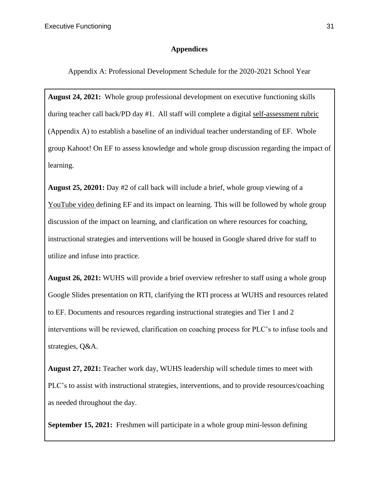## **Appendices**

Appendix A: Professional Development Schedule for the 2020-2021 School Year

**August 24, 2021:** Whole group professional development on executive functioning skills during teacher call back/PD day #1. All staff will complete a digital [self-assessment rubric](about:blank) (Appendix A) to establish a baseline of an individual teacher understanding of EF. Whole group Kahoot! On EF to assess knowledge and whole group discussion regarding the impact of learning.

**August 25, 20201:** Day #2 of call back will include a brief, whole group viewing of a [YouTube video d](about:blank)efining EF and its impact on learning. This will be followed by whole group discussion of the impact on learning, and clarification on where resources for coaching, instructional strategies and interventions will be housed in Google shared drive for staff to utilize and infuse into practice.

**August 26, 2021:** WUHS will provide a brief overview refresher to staff using a whole group Google Slides presentation on RTI, clarifying the RTI process at WUHS and resources related to EF. Documents and resources regarding instructional strategies and Tier 1 and 2 interventions will be reviewed, clarification on coaching process for PLC's to infuse tools and strategies, Q&A.

**August 27, 2021:** Teacher work day, WUHS leadership will schedule times to meet with PLC's to assist with instructional strategies, interventions, and to provide resources/coaching as needed throughout the day.

**September 15, 2021:** Freshmen will participate in a whole group mini-lesson defining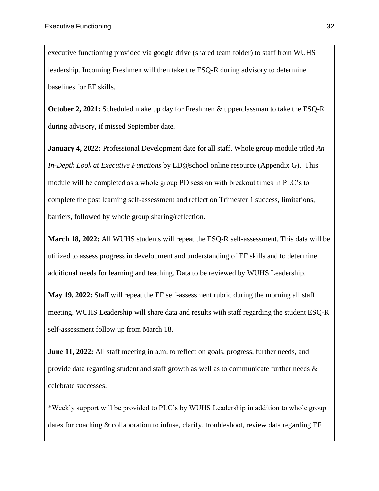executive functioning provided via google drive (shared team folder) to staff from WUHS leadership. Incoming Freshmen will then take the ESQ-R during advisory to determine baselines for EF skills.

**October 2, 2021:** Scheduled make up day for Freshmen & upperclassman to take the ESQ-R during advisory, if missed September date.

**January 4, 2022:** Professional Development date for all staff. Whole group module titled *An In-Depth Look at Executive Functions* by [LD@school](about:blank) online resource (Appendix G). This module will be completed as a whole group PD session with breakout times in PLC's to complete the post learning self-assessment and reflect on Trimester 1 success, limitations, barriers, followed by whole group sharing/reflection.

**March 18, 2022:** All WUHS students will repeat the ESQ-R self-assessment. This data will be utilized to assess progress in development and understanding of EF skills and to determine additional needs for learning and teaching. Data to be reviewed by WUHS Leadership.

**May 19, 2022:** Staff will repeat the EF self-assessment rubric during the morning all staff meeting. WUHS Leadership will share data and results with staff regarding the student ESQ-R self-assessment follow up from March 18.

**June 11, 2022:** All staff meeting in a.m. to reflect on goals, progress, further needs, and provide data regarding student and staff growth as well as to communicate further needs  $\&$ celebrate successes.

\*Weekly support will be provided to PLC's by WUHS Leadership in addition to whole group dates for coaching  $\&$  collaboration to infuse, clarify, troubleshoot, review data regarding EF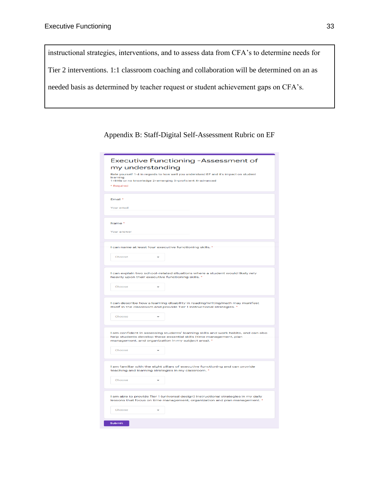instructional strategies, interventions, and to assess data from CFA's to determine needs for Tier 2 interventions. 1:1 classroom coaching and collaboration will be determined on an as needed basis as determined by teacher request or student achievement gaps on CFA's.

Appendix B: Staff-Digital Self-Assessment Rubric on EF

| Executive Functioning -Assessment of<br>my understanding<br>Rate yourself 1-4 in regards to how well you understand EF and it's impact on student<br>learning.<br>1=little or no knowledge 2=emerging 3=proficient 4=advanced<br>* Required |
|---------------------------------------------------------------------------------------------------------------------------------------------------------------------------------------------------------------------------------------------|
| Email *<br>Your email                                                                                                                                                                                                                       |
| Name <sup>*</sup><br>Your answer                                                                                                                                                                                                            |
| I can name at least four executive functioning skills. *<br>Choose                                                                                                                                                                          |
| I can explain two school-related situations where a student would likely rely<br>heavily upon their executive functioning skills. *<br>Choose                                                                                               |
| I can describe how a learning disability in reading/writing/math may manifest<br>itself in the classroom and provide Tier 1 instructional strategies. *<br>Choose                                                                           |
| I am confident in assessing students' learning skills and work habits, and can also<br>help students develop these essential skills (time management, plan<br>management, and organization in my subject area). *<br>Choose                 |
| I am familiar with the eight pillars of executive functioning and can provide<br>teaching and learning strategies in my classroom. *<br>Choose                                                                                              |
| I am able to provide Tier 1 (universal design) instructional strategies in my daily<br>lessons that focus on time management, organization and plan management. *                                                                           |
| Choose<br>Submit                                                                                                                                                                                                                            |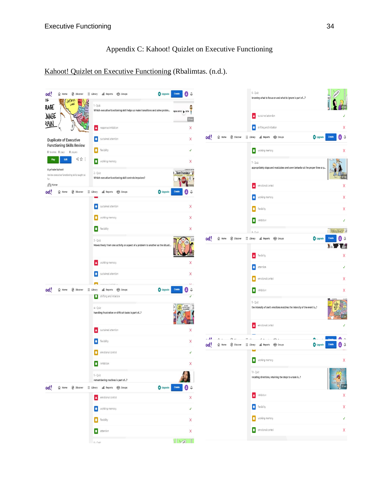# Appendix C: Kahoot! Quizlet on Executive Functioning

# [Kahoot! Quizlet on Executive Functioning](about:blank) (Rbalimtas. (n.d.).

| <b><i>O</i></b> Discover<br>oot!<br>$\Omega$ Home<br>Ι                    | E Library all Reports 888 Groups                                                         | Upgrade<br>Create<br>Δ                             |                |         |                 | $6 - Quiz$<br>knowing what to focus on and what to ignore is part of?        | NG                              |
|---------------------------------------------------------------------------|------------------------------------------------------------------------------------------|----------------------------------------------------|----------------|---------|-----------------|------------------------------------------------------------------------------|---------------------------------|
| LOBE<br>RAGE                                                              | 1 - Quiz<br>Which executive functioning skill helps us make transitions and solve proble |                                                    |                |         |                 | sustained attention<br>A                                                     |                                 |
| .NAGE<br><u>IAN</u>                                                       | response inhibition<br>л                                                                 | X                                                  |                |         |                 | $\blacklozenge$<br>shifting and initiation                                   | Χ                               |
| <b>Duplicate of Executive</b>                                             | sustained attention                                                                      | X                                                  | oot!           | d Home  | <b>Discover</b> | all Reports 88 Groups<br>$\equiv$ Library                                    | Θû<br>O Upgrade<br>Create       |
| <b>Functioning Skills Review</b><br>O favorites O plays O players         | o<br>flexibility                                                                         | $\checkmark$                                       |                |         |                 | working memory                                                               | Χ                               |
| 哈☆:<br>Edit<br>Play                                                       | working memory                                                                           | X                                                  |                |         |                 | 7 - Quiz                                                                     |                                 |
| A private kahoot<br>Review executive functioning skills taught so<br>far. | 2 - Quiz<br>Which executive functioning skill controls impulses?                         | Teen Translator                                    |                |         |                 | appropriately stops and modulates one's own behavior at the proper time or p |                                 |
| hbjorge<br>iscover<br>oot<br>⋒<br>Home                                    | $\equiv$ Library<br>all Reports RAR Groups                                               | Create<br>Upgrade<br>Θ<br>₽                        |                |         |                 | A<br>emotional control                                                       | Χ                               |
|                                                                           | o<br>sustained attention                                                                 | X                                                  |                |         |                 | ٠<br>working memory                                                          | X                               |
|                                                                           | о<br>working memory                                                                      | X                                                  |                |         |                 | O<br>flexibility                                                             | X                               |
|                                                                           | о<br>flexibility                                                                         | X                                                  |                |         |                 | О<br>inhibition<br>$A - \Omega$ uiz                                          | <b>BOUGLALTE UN'DISSON B</b>    |
|                                                                           | $3 - Quiz$                                                                               |                                                    | oot!           | da Home | iscover         | 三 Library<br>all Reports<br><b>RR</b> Groups                                 | <b>O</b> Upgrade<br>Δ           |
|                                                                           | Moves freely from one activity or aspect of a problem to another as the situati          |                                                    |                |         |                 | Δ<br>flexibility                                                             | X                               |
|                                                                           | Δ<br>working memory                                                                      | Χ                                                  |                |         |                 | $\blacklozenge$<br>attention                                                 | J                               |
|                                                                           | o<br>sustained attention                                                                 | Χ                                                  |                |         |                 | O<br>emotional control                                                       | Χ                               |
| $\oslash$ Discover<br>oot!<br><b>d</b> Home                               | a Salaffateta<br>all Reports 88R Groups<br>$\equiv$ Library                              | $\sqrt{2}$<br><b>O</b> Upgrade<br>Create<br>Δ<br>B |                |         |                 | О<br>inhibition                                                              | X                               |
|                                                                           | shifting and intiation                                                                   |                                                    |                |         |                 | 9 - Quiz                                                                     |                                 |
|                                                                           | $4 - Quiz$<br>handling frustration or difficult tasks is part of?                        |                                                    |                |         |                 | the intensity of one's emotions matches the intensity of the event is?       |                                 |
|                                                                           | A<br>sustained attention                                                                 | X                                                  |                |         |                 | ▵<br>emotional control                                                       |                                 |
|                                                                           | <b>IO</b><br>flexibility                                                                 | Χ                                                  | اللادة<br>oot! | d Home  | <b>Discover</b> | 三 Library<br><b>ABR</b> Groups<br>all Reports                                | O Upgrade<br><b>Create</b><br>Δ |
|                                                                           | emotional control                                                                        | J                                                  |                |         |                 | О<br>working memory                                                          | X                               |
|                                                                           | nhibition                                                                                | Χ                                                  |                |         |                 | 10 - Quiz                                                                    |                                 |
|                                                                           | 5 - Quiz<br>remembering routines is part of?                                             |                                                    |                |         |                 | recalling directions, retaining the steps to a task is?                      |                                 |
| oot                                                                       |                                                                                          | O Upgrade Create<br>8<br>Û                         |                |         |                 | Δ<br>inhibition                                                              | Χ                               |
|                                                                           | $\Delta$ emotional control<br>vorking memory                                             | X<br>$\checkmark$                                  |                |         |                 | $\blacklozenge$<br>flexibility                                               | Χ                               |
|                                                                           | <b>O</b> flexbility                                                                      | X                                                  |                |         |                 | working memory<br>$\bullet$                                                  | $\checkmark$                    |
|                                                                           | attention                                                                                | X                                                  |                |         |                 | О<br>emotional control                                                       | X                               |
|                                                                           | $6 - \Omega$ uiz                                                                         | $\sqrt{2}$                                         |                |         |                 |                                                                              |                                 |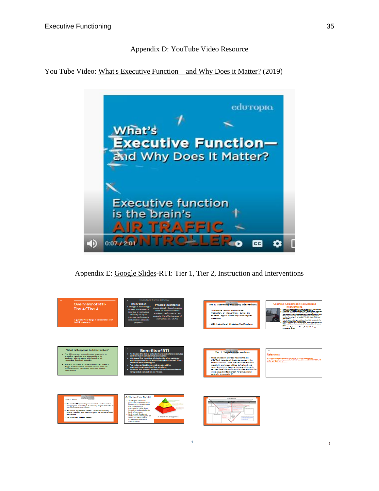## Appendix D: YouTube Video Resource

You Tube Video: [What's Executive Function—and Why Does it Matter?](about:blank) (2019)



Appendix E: [Google Slides-](about:blank)RTI: Tier 1, Tier 2, Instruction and Interventions



1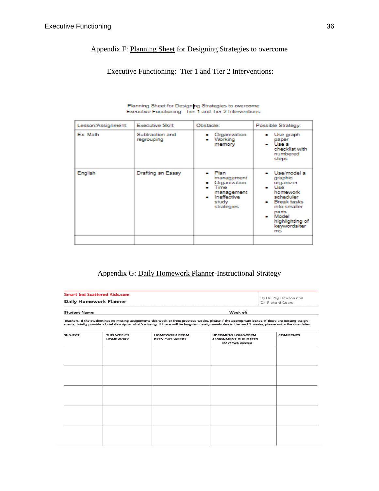## Appendix F: [Planning Sheet](about:blank) for Designing Strategies to overcome

## Executive Functioning: Tier 1 and Tier 2 Interventions:

| Lesson/Assignment: | <b>Executive Skill:</b>       | Obstacle:                                                                                                    | Possible Strategy:                                                                                                                                                            |
|--------------------|-------------------------------|--------------------------------------------------------------------------------------------------------------|-------------------------------------------------------------------------------------------------------------------------------------------------------------------------------|
| Ex: Math           | Subtraction and<br>regrouping | Organization<br>Working<br>$\bullet$<br>memory                                                               | Use graph<br>paper<br>⊷ Usea<br>checklist with<br>numbered<br>steps                                                                                                           |
| English            | Drafting an Essay             | • Plan<br>management<br>Organization<br>$\bullet$ Time<br>management<br>• Ineffective<br>study<br>strategies | · Use/model a<br>graphic<br>organizer<br>• Use<br>homework<br>scheduler<br>$\bullet$ Break tasks<br>into smaller<br>parts<br>• Model<br>highlighting of<br>keywords/ter<br>ms |
|                    |                               |                                                                                                              |                                                                                                                                                                               |

# Planning Sheet for Designing Strategies to overcome<br>Executive Functioning: Tier 1 and Tier 2 Interventions:

## Appendix G: [Daily Homework Planner-](about:blank)Instructional Strategy

|                                                                                                                                                                                                                                                                                                                      | <b>Smart but Scattered Kids.com</b> |                                               |                                                                              |                                            |  |  |
|----------------------------------------------------------------------------------------------------------------------------------------------------------------------------------------------------------------------------------------------------------------------------------------------------------------------|-------------------------------------|-----------------------------------------------|------------------------------------------------------------------------------|--------------------------------------------|--|--|
| <b>Daily Homework Planner</b>                                                                                                                                                                                                                                                                                        |                                     |                                               |                                                                              | By Dr. Peg Dawson and<br>Dr. Richard Guare |  |  |
| <b>Student Name:</b>                                                                                                                                                                                                                                                                                                 |                                     |                                               | Week of:                                                                     |                                            |  |  |
| Teachers: If the student has no missing assignments this week or from previous weeks, please $\sqrt{ }$ the appropriate boxes. If there are missing assign-<br>ments, briefly provide a brief descriptor what's missing. If there will be long-term assignments due in the next 2 weeks, please write the due dates. |                                     |                                               |                                                                              |                                            |  |  |
| <b>SUBJECT</b>                                                                                                                                                                                                                                                                                                       | THIS WEEK'S<br><b>HOMEWORK</b>      | <b>HOMEWORK FROM</b><br><b>PREVIOUS WEEKS</b> | <b>UPCOMING LONG-TERM</b><br><b>ASSIGNMENT DUE DATES</b><br>(next two weeks) | <b>COMMENTS</b>                            |  |  |
|                                                                                                                                                                                                                                                                                                                      |                                     |                                               |                                                                              |                                            |  |  |
|                                                                                                                                                                                                                                                                                                                      |                                     |                                               |                                                                              |                                            |  |  |
|                                                                                                                                                                                                                                                                                                                      |                                     |                                               |                                                                              |                                            |  |  |
|                                                                                                                                                                                                                                                                                                                      |                                     |                                               |                                                                              |                                            |  |  |
|                                                                                                                                                                                                                                                                                                                      |                                     |                                               |                                                                              |                                            |  |  |
|                                                                                                                                                                                                                                                                                                                      |                                     |                                               |                                                                              |                                            |  |  |
|                                                                                                                                                                                                                                                                                                                      |                                     |                                               |                                                                              |                                            |  |  |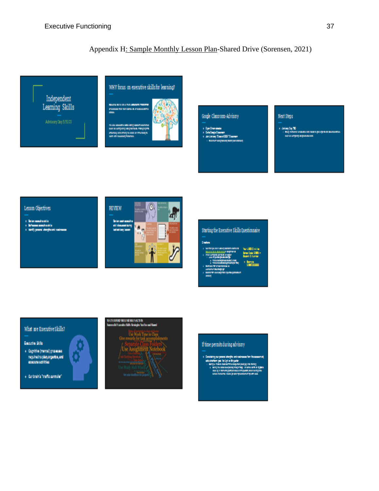## Appendix [H: Sample Monthly Lesson Plan-](about:blank)Shared Drive (Sorensen, 2021)



## Google Classroom-Advisory

#### Next Steps

 $\epsilon$  -Adding Eq. 72.<br>  $\epsilon$  -mass measure

.<br>Kabupatèn Barangarejaran I ՝<br>ասորորարս

### Lesson Objectives





## What are Executive Skills?

#### Executive Skiller

 $\ast$  -Cognitive (mental) groomate required to plan organize, and<br>execute activities

 $\ast$  -functional function controller

## **BATERING MELBER QUARTER**

## If time permits during advisory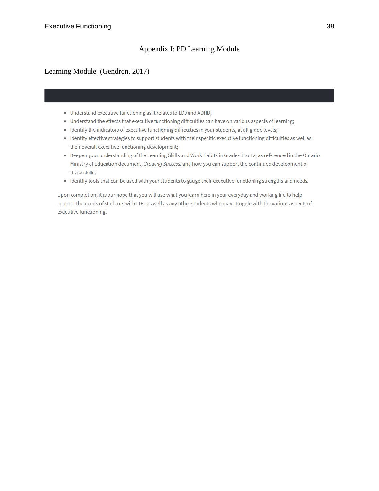## Appendix I: PD Learning Module

## [Learning Module](about:blank) (Gendron, 2017)

- Understand executive functioning as it relates to LDs and ADHD;
- Understand the effects that executive functioning difficulties can have on various aspects of learning;
- Identify the indicators of executive functioning difficulties in your students, at all grade levels;
- Identify effective strategies to support students with their specific executive functioning difficulties as well as their overall executive functioning development;
- Deepen your understanding of the Learning Skills and Work Habits in Grades 1 to 12, as referenced in the Ontario Ministry of Education document, Growing Success, and how you can support the continued development of these skills;
- Identify tools that can be used with your students to gauge their executive functioning strengths and needs.

Upon completion, it is our hope that you will use what you learn here in your everyday and working life to help support the needs of students with LDs, as well as any other students who may struggle with the various aspects of executive functioning.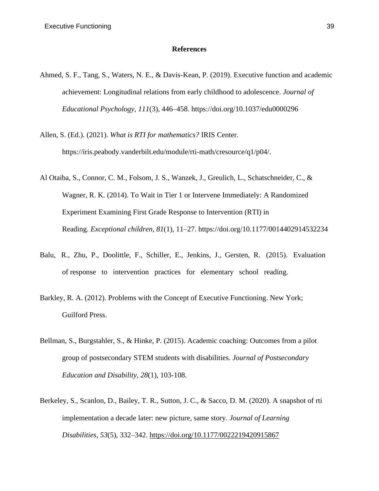## **References**

- Ahmed, S. F., Tang, S., Waters, N. E., & Davis-Kean, P. (2019). Executive function and academic achievement: Longitudinal relations from early childhood to adolescence. *Journal of Educational Psychology*, *111*(3), 446–458. https://doi.org/10.1037/edu0000296
- Allen, S. (Ed.). (2021). *What is RTI for mathematics?* IRIS Center. https://iris.peabody.vanderbilt.edu/module/rti-math/cresource/q1/p04/.
- Al Otaiba, S., Connor, C. M., Folsom, J. S., Wanzek, J., Greulich, L., Schatschneider, C., & Wagner, R. K. (2014). To Wait in Tier 1 or Intervene Immediately: A Randomized Experiment Examining First Grade Response to Intervention (RTI) in Reading. *Exceptional children*, *81*(1), 11–27. https://doi.org/10.1177/0014402914532234
- Balu, R., Zhu, P., Doolittle, F., Schiller, E., Jenkins, J., Gersten, R. (2015). Evaluation of response to intervention practices for elementary school reading.
- Barkley, R. A. (2012). Problems with the Concept of Executive Functioning. New York; Guilford Press.
- Bellman, S., Burgstahler, S., & Hinke, P. (2015). Academic coaching: Outcomes from a pilot group of postsecondary STEM students with disabilities. *Journal of Postsecondary Education and Disability, 28*(1), 103-108.
- Berkeley, S., Scanlon, D., Bailey, T. R., Sutton, J. C., & Sacco, D. M. (2020). A snapshot of rti implementation a decade later: new picture, same story. *Journal of Learning Disabilities*, *53*(5), 332–342. [https://doi.org/10.1177/0022219420915867](about:blank)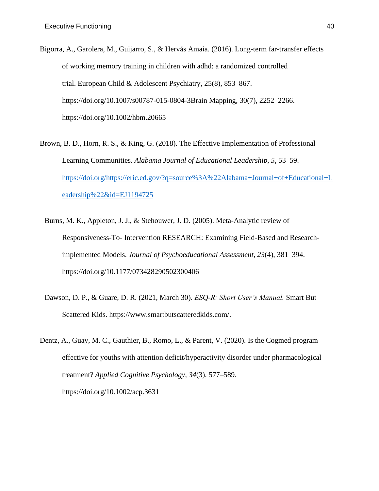- Bigorra, A., Garolera, M., Guijarro, S., & Hervás Amaia. (2016). Long-term far-transfer effects of working memory training in children with adhd: a randomized controlled trial. European Child & Adolescent Psychiatry, 25(8), 853–867. https://doi.org/10.1007/s00787-015-0804-3Brain Mapping, 30(7), 2252–2266. https://doi.org/10.1002/hbm.20665
- Brown, B. D., Horn, R. S., & King, G. (2018). The Effective Implementation of Professional Learning Communities. *Alabama Journal of Educational Leadership*, *5*, 53–59. [https://doi.org/https://eric.ed.gov/?q=source%3A%22Alabama+Journal+of+Educational+L](https://doi.org/https:/eric.ed.gov/?q=source%3A%22Alabama+Journal+of+Educational+Leadership%22&id=EJ1194725) [eadership%22&id=EJ1194725](https://doi.org/https:/eric.ed.gov/?q=source%3A%22Alabama+Journal+of+Educational+Leadership%22&id=EJ1194725)
	- Burns, M. K., Appleton, J. J., & Stehouwer, J. D. (2005). Meta-Analytic review of Responsiveness-To- Intervention RESEARCH: Examining Field-Based and Researchimplemented Models. *Journal of Psychoeducational Assessment*, *23*(4), 381–394. https://doi.org/10.1177/073428290502300406
	- Dawson, D. P., & Guare, D. R. (2021, March 30). *ESQ-R: Short User's Manual.* Smart But Scattered Kids. https://www.smartbutscatteredkids.com/.
- Dentz, A., Guay, M. C., Gauthier, B., Romo, L., & Parent, V. (2020). Is the Cogmed program effective for youths with attention deficit/hyperactivity disorder under pharmacological treatment? *Applied Cognitive Psychology*, *34*(3), 577–589. https://doi.org/10.1002/acp.3631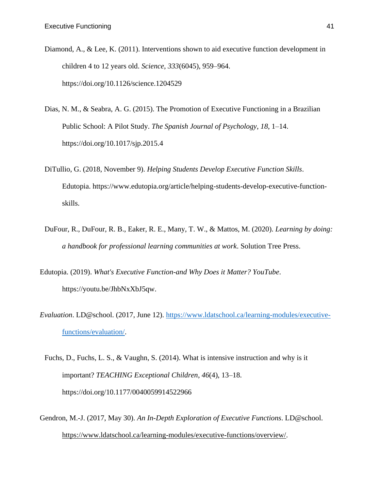- Diamond, A., & Lee, K. (2011). Interventions shown to aid executive function development in children 4 to 12 years old. *Science*, *333*(6045), 959–964. https://doi.org/10.1126/science.1204529
- Dias, N. M., & Seabra, A. G. (2015). The Promotion of Executive Functioning in a Brazilian Public School: A Pilot Study. *The Spanish Journal of Psychology*, *18*, 1–14. https://doi.org/10.1017/sjp.2015.4
- DiTullio, G. (2018, November 9). *Helping Students Develop Executive Function Skills*. Edutopia. https://www.edutopia.org/article/helping-students-develop-executive-functionskills.
- DuFour, R., DuFour, R. B., Eaker, R. E., Many, T. W., & Mattos, M. (2020). *Learning by doing: a handbook for professional learning communities at work*. Solution Tree Press.
- Edutopia. (2019). *What's Executive Function-and Why Does it Matter? YouTube*. https://youtu.be/JhbNxXbJ5qw.
- *Evaluation*. LD@school. (2017, June 12). [https://www.ldatschool.ca/learning-modules/executive](https://www.ldatschool.ca/learning-modules/executive-functions/evaluation/)[functions/evaluation/.](https://www.ldatschool.ca/learning-modules/executive-functions/evaluation/)
	- Fuchs, D., Fuchs, L. S., & Vaughn, S. (2014). What is intensive instruction and why is it important? *TEACHING Exceptional Children*, *46*(4), 13–18. https://doi.org/10.1177/0040059914522966
- Gendron, M.-J. (2017, May 30). *An In-Depth Exploration of Executive Functions*. LD@school. [https://www.ldatschool.ca/learning-modules/executive-functions/overview/.](about:blank)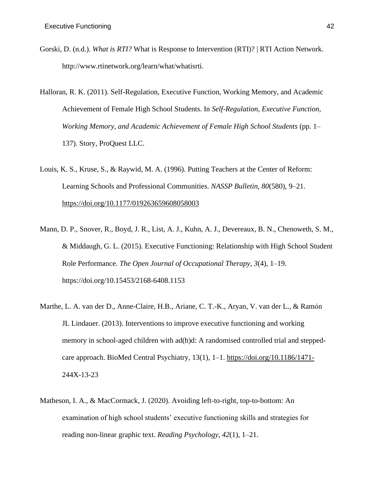- Gorski, D. (n.d.). *What is RTI?* What is Response to Intervention (RTI)? | RTI Action Network. http://www.rtinetwork.org/learn/what/whatisrti.
- Halloran, R. K. (2011). Self-Regulation, Executive Function, Working Memory, and Academic Achievement of Female High School Students. In *Self-Regulation, Executive Function, Working Memory, and Academic Achievement of Female High School Students* (pp. 1– 137). Story, ProQuest LLC.
- Louis, K. S., Kruse, S., & Raywid, M. A. (1996). Putting Teachers at the Center of Reform: Learning Schools and Professional Communities. *NASSP Bulletin*, *80*(580), 9–21. [https://doi.org/10.1177/019263659608058003](about:blank)
- Mann, D. P., Snover, R., Boyd, J. R., List, A. J., Kuhn, A. J., Devereaux, B. N., Chenoweth, S. M., & Middaugh, G. L. (2015). Executive Functioning: Relationship with High School Student Role Performance. *The Open Journal of Occupational Therapy*, *3*(4), 1–19. https://doi.org/10.15453/2168-6408.1153
- Marthe, L. A. van der D., Anne-Claire, H.B., Ariane, C. T.-K., Aryan, V. van der L., & Ramón JL Lindauer. (2013). Interventions to improve executive functioning and working memory in school-aged children with ad(h)d: A randomised controlled trial and steppedcare approach. BioMed Central Psychiatry, 13(1), 1–1. [https://doi.org/10.1186/1471-](about:blank) 244X-13-23
- Matheson, I. A., & MacCormack, J. (2020). Avoiding left-to-right, top-to-bottom: An examination of high school students' executive functioning skills and strategies for reading non-linear graphic text. *Reading Psychology*, *42*(1), 1–21.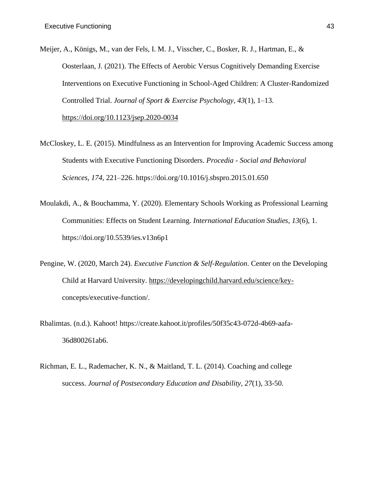- Meijer, A., Königs, M., van der Fels, I. M. J., Visscher, C., Bosker, R. J., Hartman, E., & Oosterlaan, J. (2021). The Effects of Aerobic Versus Cognitively Demanding Exercise Interventions on Executive Functioning in School-Aged Children: A Cluster-Randomized Controlled Trial. *Journal of Sport & Exercise Psychology*, *43*(1), 1–13. [https://doi.org/10.1123/jsep.2020-0034](about:blank)
- McCloskey, L. E. (2015). Mindfulness as an Intervention for Improving Academic Success among Students with Executive Functioning Disorders. *Procedia - Social and Behavioral Sciences*, *174*, 221–226. https://doi.org/10.1016/j.sbspro.2015.01.650
- Moulakdi, A., & Bouchamma, Y. (2020). Elementary Schools Working as Professional Learning Communities: Effects on Student Learning. *International Education Studies*, *13*(6), 1. https://doi.org/10.5539/ies.v13n6p1
- Pengine, W. (2020, March 24). *Executive Function & Self-Regulation*. Center on the Developing Child at Harvard University. [https://developingchild.harvard.edu/science/key](about:blank)concepts/executive-function/.
- Rbalimtas. (n.d.). Kahoot! https://create.kahoot.it/profiles/50f35c43-072d-4b69-aafa-36d800261ab6.
- Richman, E. L., Rademacher, K. N., & Maitland, T. L. (2014). Coaching and college success. *Journal of Postsecondary Education and Disability, 27*(1), 33-50.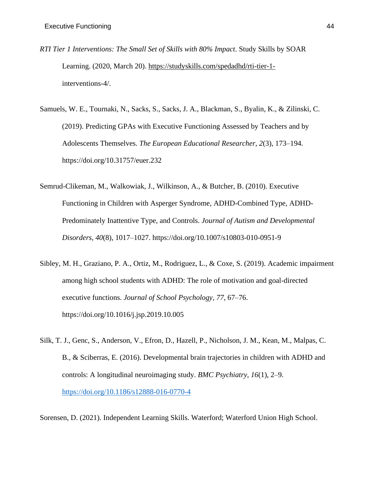- *RTI Tier 1 Interventions: The Small Set of Skills with 80% Impact*. Study Skills by SOAR Learning. (2020, March 20). [https://studyskills.com/spedadhd/rti-tier-1](about:blank) interventions-4/.
- Samuels, W. E., Tournaki, N., Sacks, S., Sacks, J. A., Blackman, S., Byalin, K., & Zilinski, C. (2019). Predicting GPAs with Executive Functioning Assessed by Teachers and by Adolescents Themselves. *The European Educational Researcher*, *2*(3), 173–194. https://doi.org/10.31757/euer.232
- Semrud-Clikeman, M., Walkowiak, J., Wilkinson, A., & Butcher, B. (2010). Executive Functioning in Children with Asperger Syndrome, ADHD-Combined Type, ADHD-Predominately Inattentive Type, and Controls. *Journal of Autism and Developmental Disorders*, *40*(8), 1017–1027. https://doi.org/10.1007/s10803-010-0951-9
- Sibley, M. H., Graziano, P. A., Ortiz, M., Rodriguez, L., & Coxe, S. (2019). Academic impairment among high school students with ADHD: The role of motivation and goal-directed executive functions. *Journal of School Psychology*, *77*, 67–76. https://doi.org/10.1016/j.jsp.2019.10.005
- Silk, T. J., Genc, S., Anderson, V., Efron, D., Hazell, P., Nicholson, J. M., Kean, M., Malpas, C. B., & Sciberras, E. (2016). Developmental brain trajectories in children with ADHD and controls: A longitudinal neuroimaging study. *BMC Psychiatry*, *16*(1), 2–9. <https://doi.org/10.1186/s12888-016-0770-4>

Sorensen, D. (2021). Independent Learning Skills. Waterford; Waterford Union High School.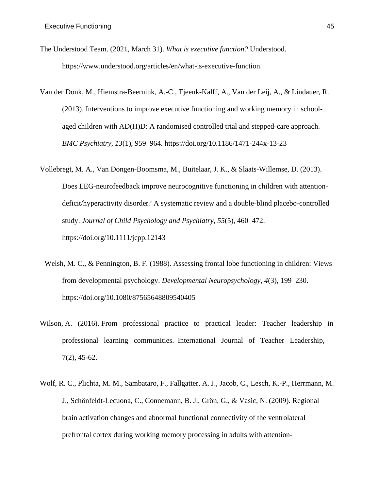- The Understood Team. (2021, March 31). *What is executive function?* Understood. https://www.understood.org/articles/en/what-is-executive-function.
- Van der Donk, M., Hiemstra-Beernink, A.-C., Tjeenk-Kalff, A., Van der Leij, A., & Lindauer, R. (2013). Interventions to improve executive functioning and working memory in schoolaged children with AD(H)D: A randomised controlled trial and stepped-care approach. *BMC Psychiatry*, *13*(1), 959–964. https://doi.org/10.1186/1471-244x-13-23
- Vollebregt, M. A., Van Dongen-Boomsma, M., Buitelaar, J. K., & Slaats-Willemse, D. (2013). Does EEG-neurofeedback improve neurocognitive functioning in children with attentiondeficit/hyperactivity disorder? A systematic review and a double-blind placebo-controlled study. *Journal of Child Psychology and Psychiatry*, *55*(5), 460–472. https://doi.org/10.1111/jcpp.12143
- Welsh, M. C., & Pennington, B. F. (1988). Assessing frontal lobe functioning in children: Views from developmental psychology. *Developmental Neuropsychology*, *4*(3), 199–230. https://doi.org/10.1080/87565648809540405
- Wilson, A. (2016). From professional practice to practical leader: Teacher leadership in professional learning communities. International Journal of Teacher Leadership, 7(2), 45-62.
- Wolf, R. C., Plichta, M. M., Sambataro, F., Fallgatter, A. J., Jacob, C., Lesch, K.-P., Herrmann, M. J., Schönfeldt-Lecuona, C., Connemann, B. J., Grön, G., & Vasic, N. (2009). Regional brain activation changes and abnormal functional connectivity of the ventrolateral prefrontal cortex during working memory processing in adults with attention-